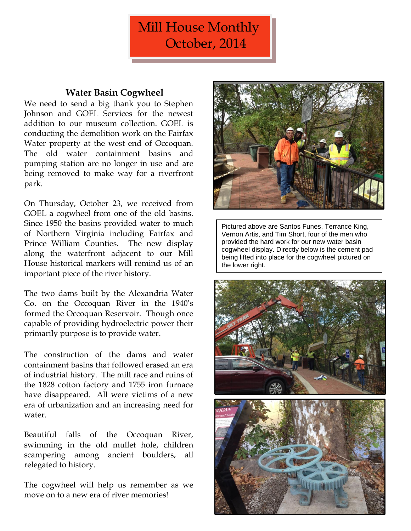# Mill House Monthly October, 2014

## **Water Basin Cogwheel**

We need to send a big thank you to Stephen Johnson and GOEL Services for the newest addition to our museum collection. GOEL is conducting the demolition work on the Fairfax Water property at the west end of Occoquan. The old water containment basins and pumping station are no longer in use and are being removed to make way for a riverfront park.

On Thursday, October 23, we received from GOEL a cogwheel from one of the old basins. Since 1950 the basins provided water to much of Northern Virginia including Fairfax and Prince William Counties. The new display along the waterfront adjacent to our Mill House historical markers will remind us of an important piece of the river history.

The two dams built by the Alexandria Water Co. on the Occoquan River in the 1940's formed the Occoquan Reservoir. Though once capable of providing hydroelectric power their primarily purpose is to provide water.

The construction of the dams and water containment basins that followed erased an era of industrial history. The mill race and ruins of the 1828 cotton factory and 1755 iron furnace have disappeared. All were victims of a new era of urbanization and an increasing need for water.

Beautiful falls of the Occoquan River, swimming in the old mullet hole, children scampering among ancient boulders, all relegated to history.

The cogwheel will help us remember as we move on to a new era of river memories!



Pictured above are Santos Funes, Terrance King, Vernon Artis, and Tim Short, four of the men who provided the hard work for our new water basin cogwheel display. Directly below is the cement pad being lifted into place for the cogwheel pictured on the lower right.

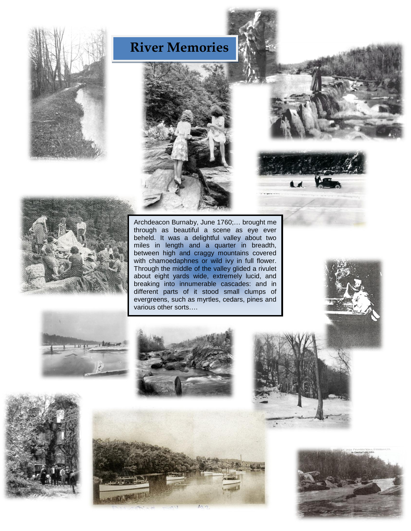







Archdeacon Burnaby, June 1760;… brought me through as beautiful a scene as eye ever beheld. It was a delightful valley about two miles in length and a quarter in breadth, between high and craggy mountains covered with chamoedaphnes or wild ivy in full flower. Through the middle of the valley glided a rivulet about eight yards wide, extremely lucid, and breaking into innumerable cascades: and in different parts of it stood small clumps of evergreens, such as myrtles, cedars, pines and various other sorts….



 $\blacksquare$